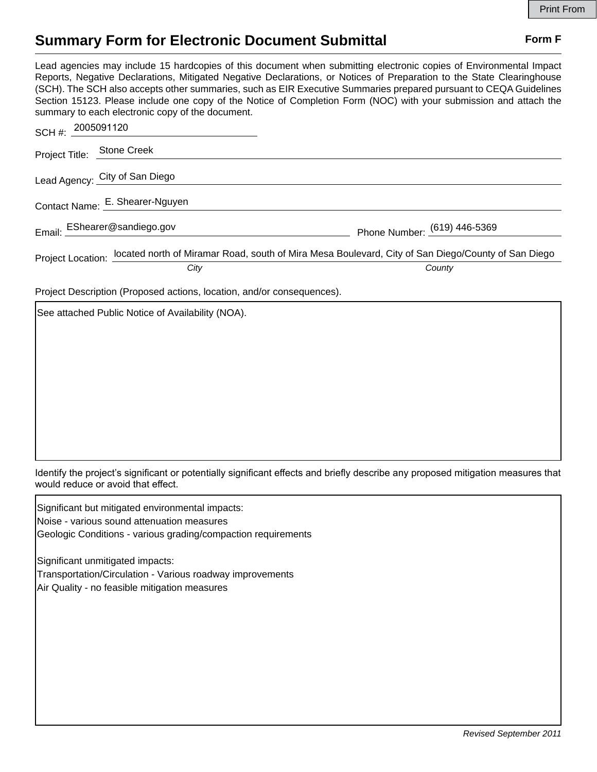## **Summary Form for Electronic Document Submittal Form F Form F**

Lead agencies may include 15 hardcopies of this document when submitting electronic copies of Environmental Impact Reports, Negative Declarations, Mitigated Negative Declarations, or Notices of Preparation to the State Clearinghouse (SCH). The SCH also accepts other summaries, such as EIR Executive Summaries prepared pursuant to CEQA Guidelines Section 15123. Please include one copy of the Notice of Completion Form (NOC) with your submission and attach the summary to each electronic copy of the document.

| SCH #: 2005091120          |                                 |                                                                                                                      |
|----------------------------|---------------------------------|----------------------------------------------------------------------------------------------------------------------|
| Project Title: Stone Creek |                                 |                                                                                                                      |
|                            | Lead Agency: City of San Diego  |                                                                                                                      |
|                            | Contact Name: E. Shearer-Nguyen |                                                                                                                      |
|                            | Email: EShearer@sandiego.gov    | Phone Number: (619) 446-5369                                                                                         |
|                            |                                 | Project Location: located north of Miramar Road, south of Mira Mesa Boulevard, City of San Diego/County of San Diego |
|                            | City                            | County                                                                                                               |

Project Description (Proposed actions, location, and/or consequences).

See attached Public Notice of Availability (NOA).

Identify the project's significant or potentially significant effects and briefly describe any proposed mitigation measures that would reduce or avoid that effect.

Significant but mitigated environmental impacts: Noise - various sound attenuation measures Geologic Conditions - various grading/compaction requirements

Significant unmitigated impacts: Transportation/Circulation - Various roadway improvements Air Quality - no feasible mitigation measures